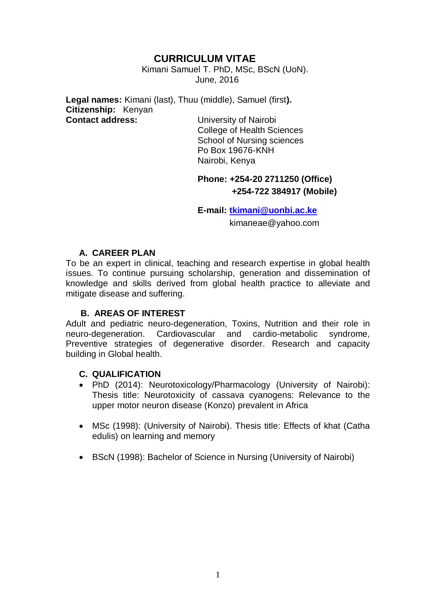# **CURRICULUM VITAE**

 Kimani Samuel T. PhD, MSc, BScN (UoN). June, 2016

**Legal names:** Kimani (last), Thuu (middle), Samuel (first**). Citizenship:** Kenyan **Contact address:** University of Nairobi

College of Health Sciences School of Nursing sciences Po Box 19676-KNH Nairobi, Kenya

# **Phone: +254-20 2711250 (Office) +254-722 384917 (Mobile)**

**E-mail: [tkimani@uonbi.ac.ke](mailto:tkimani@uonbi.ac.ke)**

kimaneae@yahoo.com

### **A. CAREER PLAN**

To be an expert in clinical, teaching and research expertise in global health issues. To continue pursuing scholarship, generation and dissemination of knowledge and skills derived from global health practice to alleviate and mitigate disease and suffering.

### **B. AREAS OF INTEREST**

Adult and pediatric neuro-degeneration, Toxins, Nutrition and their role in neuro-degeneration. Cardiovascular and cardio-metabolic syndrome, Preventive strategies of degenerative disorder. Research and capacity building in Global health.

## **C. QUALIFICATION**

- PhD (2014): Neurotoxicology/Pharmacology (University of Nairobi): Thesis title: Neurotoxicity of cassava cyanogens: Relevance to the upper motor neuron disease (Konzo) prevalent in Africa
- MSc (1998): (University of Nairobi). Thesis title: Effects of khat (Catha edulis) on learning and memory
- BScN (1998): Bachelor of Science in Nursing (University of Nairobi)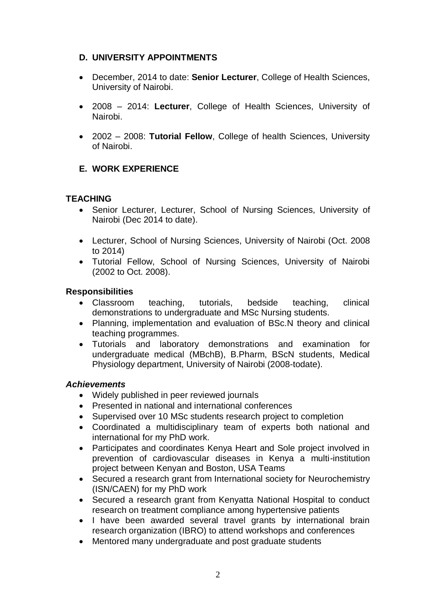### **D. UNIVERSITY APPOINTMENTS**

- December, 2014 to date: **Senior Lecturer**, College of Health Sciences, University of Nairobi.
- 2008 2014: **Lecturer**, College of Health Sciences, University of Nairobi.
- 2002 2008: **Tutorial Fellow**, College of health Sciences, University of Nairobi.

# **E. WORK EXPERIENCE**

### **TEACHING**

- Senior Lecturer, Lecturer, School of Nursing Sciences, University of Nairobi (Dec 2014 to date).
- Lecturer, School of Nursing Sciences, University of Nairobi (Oct. 2008 to 2014)
- Tutorial Fellow, School of Nursing Sciences, University of Nairobi (2002 to Oct. 2008).

#### **Responsibilities**

- Classroom teaching, tutorials, bedside teaching, clinical demonstrations to undergraduate and MSc Nursing students.
- Planning, implementation and evaluation of BSc.N theory and clinical teaching programmes.
- Tutorials and laboratory demonstrations and examination for undergraduate medical (MBchB), B.Pharm, BScN students, Medical Physiology department, University of Nairobi (2008-todate).

#### *Achievements*

- Widely published in peer reviewed journals
- Presented in national and international conferences
- Supervised over 10 MSc students research project to completion
- Coordinated a multidisciplinary team of experts both national and international for my PhD work.
- Participates and coordinates Kenya Heart and Sole project involved in prevention of cardiovascular diseases in Kenya a multi-institution project between Kenyan and Boston, USA Teams
- Secured a research grant from International society for Neurochemistry (ISN/CAEN) for my PhD work
- Secured a research grant from Kenyatta National Hospital to conduct research on treatment compliance among hypertensive patients
- I have been awarded several travel grants by international brain research organization (IBRO) to attend workshops and conferences
- Mentored many undergraduate and post graduate students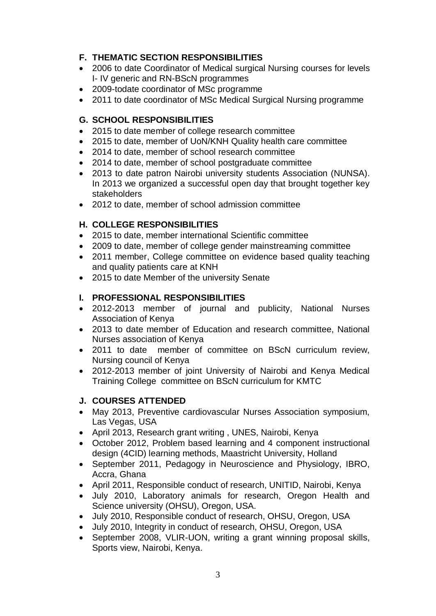# **F. THEMATIC SECTION RESPONSIBILITIES**

- 2006 to date Coordinator of Medical surgical Nursing courses for levels I- IV generic and RN-BScN programmes
- 2009-todate coordinator of MSc programme
- 2011 to date coordinator of MSc Medical Surgical Nursing programme

## **G. SCHOOL RESPONSIBILITIES**

- 2015 to date member of college research committee
- 2015 to date, member of UoN/KNH Quality health care committee
- 2014 to date, member of school research committee
- 2014 to date, member of school postgraduate committee
- 2013 to date patron Nairobi university students Association (NUNSA). In 2013 we organized a successful open day that brought together key stakeholders
- 2012 to date, member of school admission committee

# **H. COLLEGE RESPONSIBILITIES**

- 2015 to date, member international Scientific committee
- 2009 to date, member of college gender mainstreaming committee
- 2011 member, College committee on evidence based quality teaching and quality patients care at KNH
- 2015 to date Member of the university Senate

# **I. PROFESSIONAL RESPONSIBILITIES**

- 2012-2013 member of journal and publicity, National Nurses Association of Kenya
- 2013 to date member of Education and research committee, National Nurses association of Kenya
- 2011 to date member of committee on BScN curriculum review, Nursing council of Kenya
- 2012-2013 member of joint University of Nairobi and Kenya Medical Training College committee on BScN curriculum for KMTC

## **J. COURSES ATTENDED**

- May 2013, Preventive cardiovascular Nurses Association symposium, Las Vegas, USA
- April 2013, Research grant writing, UNES, Nairobi, Kenya
- October 2012, Problem based learning and 4 component instructional design (4CID) learning methods, Maastricht University, Holland
- September 2011, Pedagogy in Neuroscience and Physiology, IBRO, Accra, Ghana
- April 2011, Responsible conduct of research, UNITID, Nairobi, Kenya
- July 2010, Laboratory animals for research, Oregon Health and Science university (OHSU), Oregon, USA.
- July 2010, Responsible conduct of research, OHSU, Oregon, USA
- July 2010, Integrity in conduct of research, OHSU, Oregon, USA
- September 2008, VLIR-UON, writing a grant winning proposal skills, Sports view, Nairobi, Kenya.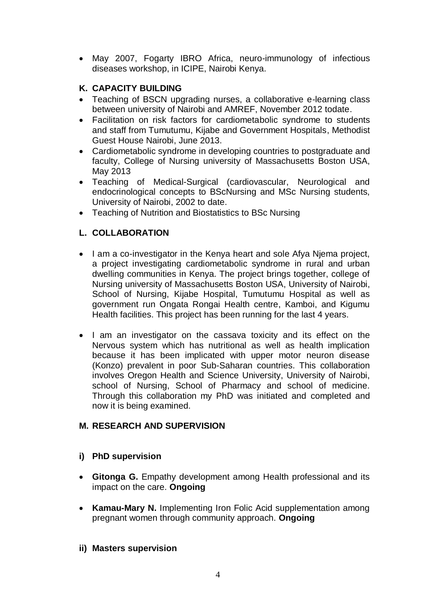May 2007, Fogarty IBRO Africa, neuro-immunology of infectious diseases workshop, in ICIPE, Nairobi Kenya.

## **K. CAPACITY BUILDING**

- Teaching of BSCN upgrading nurses, a collaborative e-learning class between university of Nairobi and AMREF, November 2012 todate.
- Facilitation on risk factors for cardiometabolic syndrome to students and staff from Tumutumu, Kijabe and Government Hospitals, Methodist Guest House Nairobi, June 2013.
- Cardiometabolic syndrome in developing countries to postgraduate and faculty, College of Nursing university of Massachusetts Boston USA, May 2013
- Teaching of Medical-Surgical (cardiovascular, Neurological and endocrinological concepts to BScNursing and MSc Nursing students, University of Nairobi, 2002 to date.
- Teaching of Nutrition and Biostatistics to BSc Nursing

# **L. COLLABORATION**

- I am a co-investigator in the Kenya heart and sole Afya Niema project, a project investigating cardiometabolic syndrome in rural and urban dwelling communities in Kenya. The project brings together, college of Nursing university of Massachusetts Boston USA, University of Nairobi, School of Nursing, Kijabe Hospital, Tumutumu Hospital as well as government run Ongata Rongai Health centre, Kamboi, and Kigumu Health facilities. This project has been running for the last 4 years.
- I am an investigator on the cassava toxicity and its effect on the Nervous system which has nutritional as well as health implication because it has been implicated with upper motor neuron disease (Konzo) prevalent in poor Sub-Saharan countries. This collaboration involves Oregon Health and Science University, University of Nairobi, school of Nursing, School of Pharmacy and school of medicine. Through this collaboration my PhD was initiated and completed and now it is being examined.

## **M. RESEARCH AND SUPERVISION**

## **i) PhD supervision**

- **Gitonga G.** Empathy development among Health professional and its impact on the care. **Ongoing**
- **Kamau-Mary N. Implementing Iron Folic Acid supplementation among** pregnant women through community approach. **Ongoing**

## **ii) Masters supervision**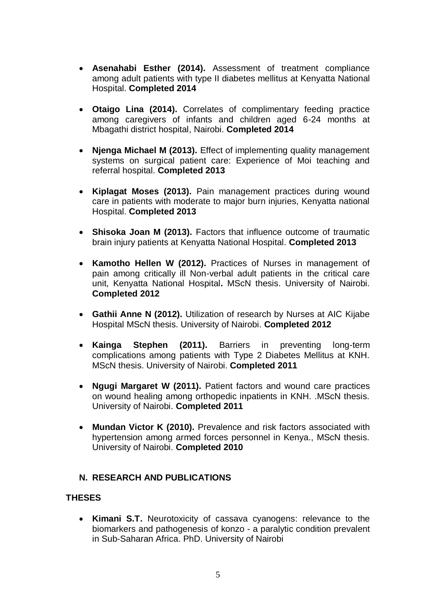- **Asenahabi Esther (2014).** Assessment of treatment compliance among adult patients with type II diabetes mellitus at Kenyatta National Hospital. **Completed 2014**
- **Otaigo Lina (2014).** Correlates of complimentary feeding practice among caregivers of infants and children aged 6-24 months at Mbagathi district hospital, Nairobi. **Completed 2014**
- **Njenga Michael M (2013).** Effect of implementing quality management systems on surgical patient care: Experience of Moi teaching and referral hospital. **Completed 2013**
- **Kiplagat Moses (2013).** Pain management practices during wound care in patients with moderate to major burn injuries, Kenyatta national Hospital. **Completed 2013**
- **Shisoka Joan M (2013).** Factors that influence outcome of traumatic brain injury patients at Kenyatta National Hospital. **Completed 2013**
- **Kamotho Hellen W (2012).** Practices of Nurses in management of pain among critically ill Non-verbal adult patients in the critical care unit, Kenyatta National Hospital**.** MScN thesis. University of Nairobi. **Completed 2012**
- **Gathii Anne N (2012).** Utilization of research by Nurses at AIC Kijabe Hospital MScN thesis. University of Nairobi. **Completed 2012**
- **Kainga Stephen (2011).** Barriers in preventing long-term complications among patients with Type 2 Diabetes Mellitus at KNH. MScN thesis. University of Nairobi. **Completed 2011**
- **Ngugi Margaret W (2011).** Patient factors and wound care practices on wound healing among orthopedic inpatients in KNH. .MScN thesis. University of Nairobi. **Completed 2011**
- **Mundan Victor K (2010).** Prevalence and risk factors associated with hypertension among armed forces personnel in Kenya., MScN thesis. University of Nairobi. **Completed 2010**

#### **N. RESEARCH AND PUBLICATIONS**

#### **THESES**

 **Kimani S.T.** Neurotoxicity of cassava cyanogens: relevance to the biomarkers and pathogenesis of konzo - a paralytic condition prevalent in Sub-Saharan Africa. PhD. University of Nairobi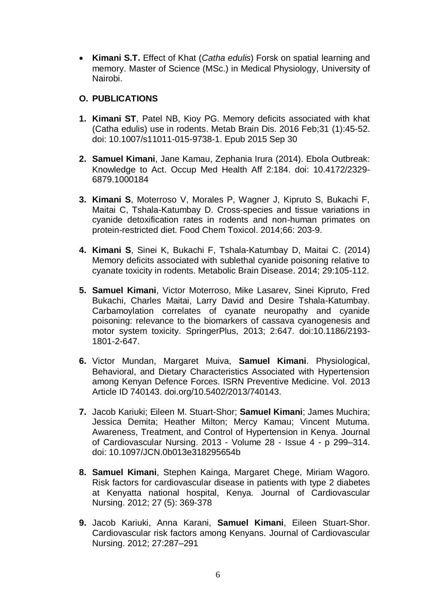**Kimani S.T.** Effect of Khat (*Catha edulis*) Forsk on spatial learning and memory. Master of Science (MSc.) in Medical Physiology, University of Nairobi.

### **O. PUBLICATIONS**

- **1. Kimani ST**, Patel NB, Kioy PG. Memory deficits associated with khat (Catha edulis) use in rodents. Metab Brain Dis. 2016 Feb;31 (1):45-52. doi: 10.1007/s11011-015-9738-1. Epub 2015 Sep 30
- **2. Samuel Kimani**, Jane Kamau, Zephania Irura (2014). Ebola Outbreak: Knowledge to Act. Occup Med Health Aff 2:184. doi: 10.4172/2329- 6879.1000184
- **3. Kimani S**, Moterroso V, Morales P, Wagner J, Kipruto S, Bukachi F, Maitai C, Tshala-Katumbay D. Cross-species and tissue variations in cyanide detoxification rates in rodents and non-human primates on protein-restricted diet. Food Chem Toxicol. 2014;66: 203-9.
- **4. Kimani S**, Sinei K, Bukachi F, Tshala-Katumbay D, Maitai C. (2014) Memory deficits associated with sublethal cyanide poisoning relative to cyanate toxicity in rodents. Metabolic Brain Disease. 2014; 29:105-112.
- **5. Samuel Kimani**, Victor Moterroso, Mike Lasarev, Sinei Kipruto, Fred Bukachi, Charles Maitai, Larry David and Desire Tshala-Katumbay. Carbamoylation correlates of cyanate neuropathy and cyanide poisoning: relevance to the biomarkers of cassava cyanogenesis and motor system toxicity. SpringerPlus, 2013; 2:647. doi:10.1186/2193- 1801-2-647.
- **6.** Victor Mundan, Margaret Muiva, **Samuel Kimani**. Physiological, Behavioral, and Dietary Characteristics Associated with Hypertension among Kenyan Defence Forces. ISRN Preventive Medicine. Vol. 2013 Article ID 740143. doi.org/10.5402/2013/740143.
- **7.** Jacob Kariuki; Eileen M. Stuart-Shor; **Samuel Kimani**; James Muchira; Jessica Demita; Heather Milton; Mercy Kamau; Vincent Mutuma. Awareness, Treatment, and Control of Hypertension in Kenya. Journal of Cardiovascular Nursing. 2013 - Volume 28 - Issue 4 - p 299–314. doi: 10.1097/JCN.0b013e318295654b
- **8. Samuel Kimani**, Stephen Kainga, Margaret Chege, Miriam Wagoro. Risk factors for cardiovascular disease in patients with type 2 diabetes at Kenyatta national hospital, Kenya. Journal of Cardiovascular Nursing. 2012; 27 (5): 369-378
- **9.** Jacob Kariuki, Anna Karani, **Samuel Kimani**, Eileen Stuart-Shor. Cardiovascular risk factors among Kenyans. Journal of Cardiovascular Nursing. 2012; 27:287–291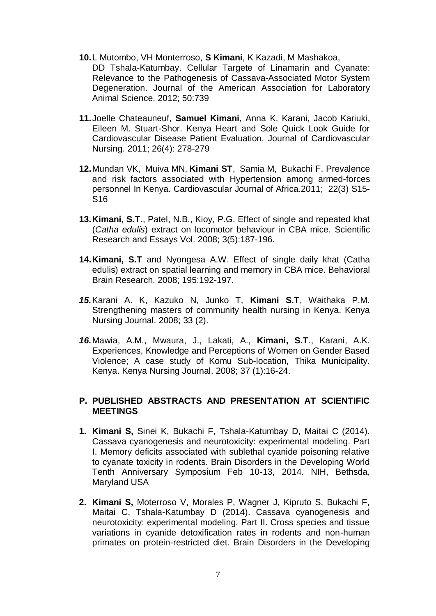- **10.**L Mutombo, VH Monterroso, **S Kimani**, K Kazadi, M Mashakoa, DD Tshala-Katumbay. Cellular Targete of Linamarin and Cyanate: Relevance to the Pathogenesis of Cassava-Associated Motor System Degeneration. Journal of the American Association for Laboratory Animal Science. 2012; 50:739
- **11.**Joelle Chateauneuf, **Samuel Kimani**, Anna K. Karani, Jacob Kariuki, Eileen M. Stuart-Shor. Kenya Heart and Sole Quick Look Guide for Cardiovascular Disease Patient Evaluation. Journal of Cardiovascular Nursing. 2011; 26(4): 278-279
- **12.**Mundan VK, Muiva MN, **Kimani ST**, Samia M, Bukachi F. Prevalence and risk factors associated with Hypertension among armed-forces personnel In Kenya. Cardiovascular Journal of Africa.2011; 22(3) S15- S16
- **13.Kimani**, **S.T**., Patel, N.B., Kioy, P.G. Effect of single and repeated khat (*Catha edulis*) extract on locomotor behaviour in CBA mice. Scientific Research and Essays Vol. 2008; 3(5):187-196.
- **14.Kimani, S.T** and Nyongesa A.W. Effect of single daily khat (Catha edulis) extract on spatial learning and memory in CBA mice. Behavioral Brain Research. 2008; 195:192-197.
- *15.*Karani A. K, Kazuko N, Junko T, **Kimani S.T**, Waithaka P.M. Strengthening masters of community health nursing in Kenya. Kenya Nursing Journal. 2008; 33 (2).
- *16.*Mawia, A.M., Mwaura, J., Lakati, A., **Kimani, S.T**., Karani, A.K. Experiences, Knowledge and Perceptions of Women on Gender Based Violence; A case study of Komu Sub-location, Thika Municipality*.* Kenya. Kenya Nursing Journal. 2008; 37 (1):16-24.

#### **P. PUBLISHED ABSTRACTS AND PRESENTATION AT SCIENTIFIC MEETINGS**

- **1. Kimani S,** Sinei K, Bukachi F, Tshala-Katumbay D, Maitai C (2014). Cassava cyanogenesis and neurotoxicity: experimental modeling. Part I. Memory deficits associated with sublethal cyanide poisoning relative to cyanate toxicity in rodents. Brain Disorders in the Developing World Tenth Anniversary Symposium Feb 10-13, 2014. NIH, Bethsda, Maryland USA
- **2. Kimani S,** Moterroso V, Morales P, Wagner J, Kipruto S, Bukachi F, Maitai C, Tshala-Katumbay D (2014). Cassava cyanogenesis and neurotoxicity: experimental modeling. Part II. Cross species and tissue variations in cyanide detoxification rates in rodents and non-human primates on protein-restricted diet. Brain Disorders in the Developing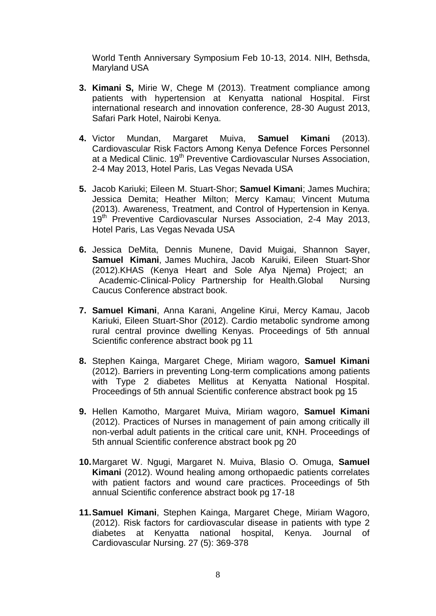World Tenth Anniversary Symposium Feb 10-13, 2014. NIH, Bethsda, Maryland USA

- **3. Kimani S,** Mirie W, Chege M (2013). Treatment compliance among patients with hypertension at Kenyatta national Hospital. First international research and innovation conference, 28-30 August 2013, Safari Park Hotel, Nairobi Kenya.
- **4.** Victor Mundan, Margaret Muiva, **Samuel Kimani** (2013). Cardiovascular Risk Factors Among Kenya Defence Forces Personnel at a Medical Clinic. 19<sup>th</sup> Preventive Cardiovascular Nurses Association, 2-4 May 2013, Hotel Paris, Las Vegas Nevada USA
- **5.** Jacob Kariuki; Eileen M. Stuart-Shor; **Samuel Kimani**; James Muchira; Jessica Demita; Heather Milton; Mercy Kamau; Vincent Mutuma (2013). Awareness, Treatment, and Control of Hypertension in Kenya. 19<sup>th</sup> Preventive Cardiovascular Nurses Association, 2-4 May 2013, Hotel Paris, Las Vegas Nevada USA
- **6.** Jessica DeMita, Dennis Munene, David Muigai, Shannon Sayer, **Samuel Kimani**, James Muchira, Jacob Karuiki, Eileen Stuart‐Shor (2012).KHAS (Kenya Heart and Sole Afya Njema) Project; an Academic-Clinical-Policy Partnership for Health.Global Nursing Caucus Conference abstract book.
- **7. Samuel Kimani**, Anna Karani, Angeline Kirui, Mercy Kamau, Jacob Kariuki, Eileen Stuart-Shor (2012). Cardio metabolic syndrome among rural central province dwelling Kenyas. Proceedings of 5th annual Scientific conference abstract book pg 11
- **8.** Stephen Kainga, Margaret Chege, Miriam wagoro, **Samuel Kimani** (2012). Barriers in preventing Long-term complications among patients with Type 2 diabetes Mellitus at Kenyatta National Hospital. Proceedings of 5th annual Scientific conference abstract book pg 15
- **9.** Hellen Kamotho, Margaret Muiva, Miriam wagoro, **Samuel Kimani** (2012). Practices of Nurses in management of pain among critically ill non-verbal adult patients in the critical care unit, KNH. Proceedings of 5th annual Scientific conference abstract book pg 20
- **10.**Margaret W. Ngugi, Margaret N. Muiva, Blasio O. Omuga, **Samuel Kimani** (2012). Wound healing among orthopaedic patients correlates with patient factors and wound care practices. Proceedings of 5th annual Scientific conference abstract book pg 17-18
- **11.Samuel Kimani**, Stephen Kainga, Margaret Chege, Miriam Wagoro, (2012). Risk factors for cardiovascular disease in patients with type 2 diabetes at Kenyatta national hospital, Kenya. Journal of Cardiovascular Nursing. 27 (5): 369-378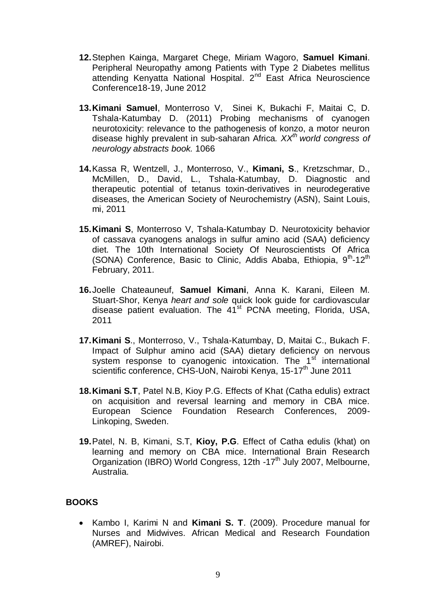- **12.**Stephen Kainga, Margaret Chege, Miriam Wagoro, **Samuel Kimani**. Peripheral Neuropathy among Patients with Type 2 Diabetes mellitus attending Kenyatta National Hospital. 2nd East Africa Neuroscience Conference18-19, June 2012
- **13.Kimani Samuel**, Monterroso V, Sinei K, Bukachi F, Maitai C, D. Tshala-Katumbay D. (2011) Probing mechanisms of cyanogen neurotoxicity: relevance to the pathogenesis of konzo, a motor neuron disease highly prevalent in sub-saharan Africa*. XXth world congress of neurology abstracts book.* 1066
- **14.**Kassa R, Wentzell, J., Monterroso, V., **Kimani, S**., Kretzschmar, D., McMillen, D., David, L., Tshala-Katumbay, D. Diagnostic and therapeutic potential of tetanus toxin-derivatives in neurodegerative diseases, the American Society of Neurochemistry (ASN), Saint Louis, mi, 2011
- **15.Kimani S**, Monterroso V, Tshala-Katumbay D. Neurotoxicity behavior of cassava cyanogens analogs in sulfur amino acid (SAA) deficiency diet. The 10th International Society Of Neuroscientists Of Africa (SONA) Conference, Basic to Clinic, Addis Ababa, Ethiopia, 9<sup>th</sup>-12<sup>th</sup> February, 2011.
- **16.**Joelle Chateauneuf, **Samuel Kimani**, Anna K. Karani, Eileen M. Stuart-Shor, Kenya *heart and sole* quick look guide for cardiovascular disease patient evaluation. The 41<sup>st</sup> PCNA meeting, Florida, USA, 2011
- **17.Kimani S**., Monterroso, V., Tshala-Katumbay, D, Maitai C., Bukach F. Impact of Sulphur amino acid (SAA) dietary deficiency on nervous system response to cyanogenic intoxication. The 1<sup>st</sup> international scientific conference, CHS-UoN, Nairobi Kenya, 15-17<sup>th</sup> June 2011
- **18.Kimani S.T**, Patel N.B, Kioy P.G. Effects of Khat (Catha edulis) extract on acquisition and reversal learning and memory in CBA mice. European Science Foundation Research Conferences, 2009- Linkoping, Sweden.
- **19.**Patel, N. B, Kimani, S.T, **Kioy, P.G**. Effect of Catha edulis (khat) on learning and memory on CBA mice. International Brain Research Organization (IBRO) World Congress, 12th -17<sup>th</sup> July 2007, Melbourne, Australia.

## **BOOKS**

 Kambo I, Karimi N and **Kimani S. T**. (2009). Procedure manual for Nurses and Midwives. African Medical and Research Foundation (AMREF), Nairobi.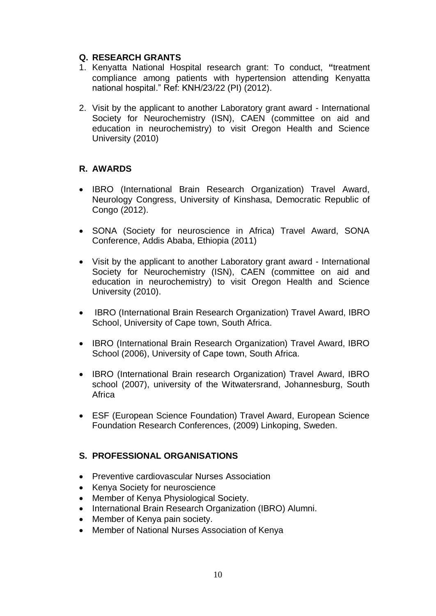### **Q. RESEARCH GRANTS**

- 1. Kenyatta National Hospital research grant: To conduct, **"**treatment compliance among patients with hypertension attending Kenyatta national hospital." Ref: KNH/23/22 (PI) (2012).
- 2. Visit by the applicant to another Laboratory grant award International Society for Neurochemistry (ISN), CAEN (committee on aid and education in neurochemistry) to visit Oregon Health and Science University (2010)

### **R. AWARDS**

- IBRO (International Brain Research Organization) Travel Award, Neurology Congress, University of Kinshasa, Democratic Republic of Congo (2012).
- SONA (Society for neuroscience in Africa) Travel Award, SONA Conference, Addis Ababa, Ethiopia (2011)
- Visit by the applicant to another Laboratory grant award International Society for Neurochemistry (ISN), CAEN (committee on aid and education in neurochemistry) to visit Oregon Health and Science University (2010).
- IBRO (International Brain Research Organization) Travel Award, IBRO School, University of Cape town, South Africa.
- IBRO (International Brain Research Organization) Travel Award, IBRO School (2006), University of Cape town, South Africa.
- IBRO (International Brain research Organization) Travel Award, IBRO school (2007), university of the Witwatersrand, Johannesburg, South Africa
- ESF (European Science Foundation) Travel Award, European Science Foundation Research Conferences, (2009) Linkoping, Sweden.

## **S. PROFESSIONAL ORGANISATIONS**

- Preventive cardiovascular Nurses Association
- Kenya Society for neuroscience
- Member of Kenya Physiological Society.
- International Brain Research Organization (IBRO) Alumni.
- Member of Kenya pain society.
- Member of National Nurses Association of Kenya